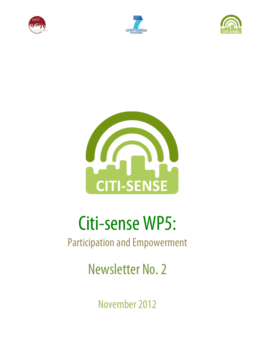







# Citi-sense WP5:

# Participation and Empowerment

Newsletter No. 2

November 2012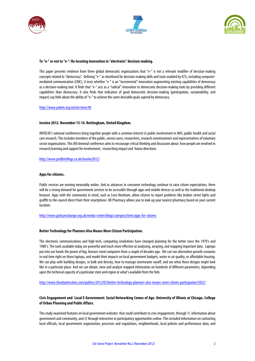





# **To "e-" or not to "e-": Re-locating innovation in "electronic" decision-making.**

This paper presents evidence from three global democratic organizations that "e-" is not a relevant modifier of decision-making concepts related to "democracy". Defining "e-" as shorthand for decision-making skills and tools enabled by ICTs, including computermediated communication (CMC), it tests whether "e-" is an "incremental" innovation augmenting existing capabilities of democracy as a decision-making tool. It finds that "e-" acts as a "radical" innovation to democratic decision-making tools by providing different capabilities than democracy. It also finds that indicators of good democratic decision-making (participation, sustainability, and impact) say little about the ability of "e-" to achieve the same desirable goals aspired by democracy.

http://www.jedem.org/article/view/40

#### **Involve 2012. November 13-14. Nottingham, United Kingdom.**

INVOLVE's national conferences bring together people with a common interest in public involvement in NHS, public health and social care research. This includes members of the public, service users, researchers, research commissioners and representatives ofvoluntary sector organisations. This 8th biennial conference aims to encourage critical thinking and discussion about: how people are involved in research,learning and support for involvement, researching impactand future directions.

http://www.profbriefings.co.uk/involve2012/

#### **Apps for citizens.**

Public services are moving inexorably online. And as advances in consumer technology continue to raise citizen expectations, there will be a strong demand for government services to be accessible through apps and mobile devices as well as the traditional desktop browser. Apps with the community in mind, such as Love Newham, allow citizens to report problems like broken street lights and graffiti to the council direct from their smartphone. UK Pharmacy allows you to look up your nearest pharmacy based on your current location.

http://www.policyexchange.org.uk/media-centre/blogs/category/item/apps-for-citizens

#### **Better Technology for Planners Also Means More Citizen Participation.**

The electronic communications and high-tech, computing revolutions have changed planning for the better since the 1970's and 1980's. The tools available today are powerful and much more effective at analyzing, arraying, and mapping important data. Laptops put into our hands the power of big, furnace-sized computers from a couple of decades ago. We can run alternative growth scenarios in real time right on those laptops, and model their impacts on local government budgets, water or air quality, or affordable housing. We can play with building designs, or bulk and density, how to manage stormwater runoff, and see what these designs might look like in a particular place. And we can obtain, view and analyze mapped information on hundreds of different parameters, depending upon the technical capacity of a particular state and region or what's available from the feds.

http://www.theatlanticcities.com/politics/2012/05/better-technology-planners-also-means-more-citizen-participation/2023/

# **Civic Engagement and Local E-Government: Social Networking Comes of Age. University of Illinois at Chicago. College of Urban Planning and Public Affairs.**

This study examined features on local government websites that could contribute to civic engagement, through 1) information about government and community, and 2) through interactive or participatory opportunities online. This included information on contacting local officials, local government organization, processes and regulations, neighborhoods, local policies and performance data, and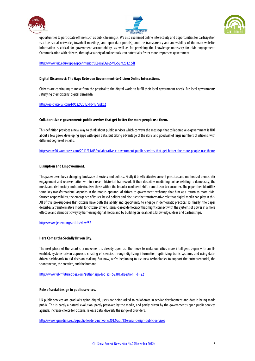





opportunities to participate offline (such as public hearings). We also examined online interactivity and opportunities for participation (such as social networks, townhall meetings, and open data portals), and the transparency and accessibility of the main website. Information is critical for government accountability, as well as for providing the knowledge necessary for civic engagement. Communication with citizens, through a variety of online tools, can potentially foster more responsive government.

http://www.uic.edu/cuppa/ipce/interior/CELocalEGovSMExSum2012.pdf

# **Digital Disconnect: The Gaps Between Government-to-Citizen Online Interactions.**

Citizens are continuing to move from the physical to the digital world to fulfill their local government needs. Are local governments satisfying their citizens' digital demands?

# http://go.civicplus.com/l/9522/2012-10-17/8pk62

#### **Collaborative e-government: public services that get better the more people use them.**

This definition provides a new way to think about public services which conveys the message that collaborative e-government is NOT about a few geeks developing apps with open data, but taking advantage of the skills and goodwill of large numbers of citizens, with different degree of e-skills.

http://egov20.wordpress.com/2011/11/03/collaborative-e-government-public-services-that-get-better-the-more-people-use-them/

#### **Disruption and Empowerment.**

This paper describes a changing landscape of society and politics. Firstly it briefly situates current practices and methodsof democratic engagement and representation within a recent historical framework. It then describes mediating factors relating to democracy, the media and civil society and contextualises these within the broader neoliberal shift from citizen to consumer.The paper then identifies some key transformational agendas in the modus operandi of citizen to government exchange that hint at a return to more civicfocused responsibility, the emergence of issues-based politics and discusses the transformative role that digital media can play in this. All of this pre-supposes that citizens have both the ability and opportunity to engage in democratic practices so, finally, the paper describes a transformative model for citizen-driven, issues-based democracy that might connect with the systems of power in a more effective and democratic way by harnessing digital media and by building on local skills, knowledge, ideas and partnerships.

http://www.jedem.org/article/view/52

#### **Here Comes the Socially Driven City.**

The next phase of the smart city movement is already upon us. The move to make our cities more intelligent began with an ITenabled, systems-driven approach: creating efficiencies through digitizing information, optimizing traffic systems, and using datadriven dashboards to aid decision making. But now, we're beginning to use new technologies to support the entrepreneurial, the spontaneous, the creative, and the humane.

http://www.ubmfuturecities.com/author.asp?doc\_id=523815&section\_id=221

#### **Role of social design in public services.**

UK public services are gradually going digital, users are being asked to collaborate in service development and data is being made public. This is partly a natural evolution, partly provoked by the media, and partly driven by the government's open public services agenda: increase choice for citizens, release data, diversify the range of providers.

http://www.guardian.co.uk/public-leaders-network/2012/apr/18/social-design-public-services